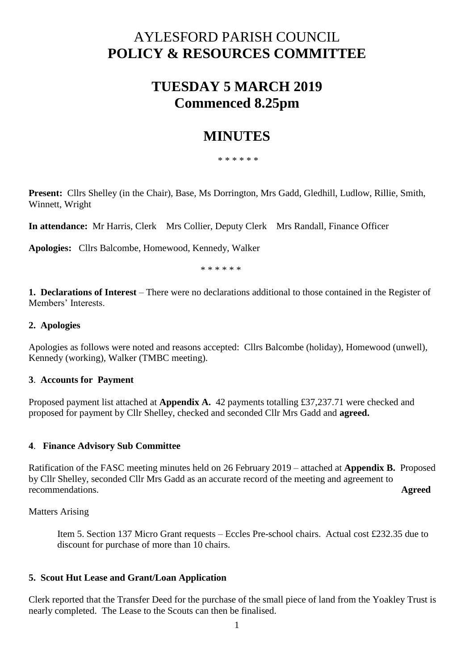# AYLESFORD PARISH COUNCIL **POLICY & RESOURCES COMMITTEE**

## **TUESDAY 5 MARCH 2019 Commenced 8.25pm**

## **MINUTES**

\* \* \* \* \* \*

**Present:** Cllrs Shelley (in the Chair), Base, Ms Dorrington, Mrs Gadd, Gledhill, Ludlow, Rillie, Smith, Winnett, Wright

**In attendance:** Mr Harris, Clerk Mrs Collier, Deputy Clerk Mrs Randall, Finance Officer

**Apologies:** Cllrs Balcombe, Homewood, Kennedy, Walker

\* \* \* \* \* \*

**1. Declarations of Interest** – There were no declarations additional to those contained in the Register of Members' Interests.

#### **2. Apologies**

Apologies as follows were noted and reasons accepted: Cllrs Balcombe (holiday), Homewood (unwell), Kennedy (working), Walker (TMBC meeting).

#### **3**. **Accounts for Payment**

Proposed payment list attached at **Appendix A.** 42 payments totalling £37,237.71 were checked and proposed for payment by Cllr Shelley, checked and seconded Cllr Mrs Gadd and **agreed.**

#### **4**. **Finance Advisory Sub Committee**

Ratification of the FASC meeting minutes held on 26 February 2019 – attached at **Appendix B.** Proposed by Cllr Shelley, seconded Cllr Mrs Gadd as an accurate record of the meeting and agreement to recommendations. **Agreed**

Matters Arising

Item 5. Section 137 Micro Grant requests – Eccles Pre-school chairs. Actual cost £232.35 due to discount for purchase of more than 10 chairs.

#### **5. Scout Hut Lease and Grant/Loan Application**

Clerk reported that the Transfer Deed for the purchase of the small piece of land from the Yoakley Trust is nearly completed. The Lease to the Scouts can then be finalised.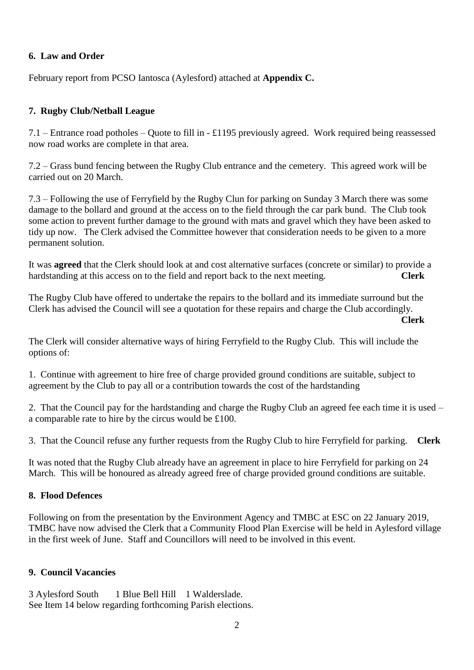## **6. Law and Order**

February report from PCSO Iantosca (Aylesford) attached at **Appendix C.**

## **7. Rugby Club/Netball League**

7.1 – Entrance road potholes – Quote to fill in - £1195 previously agreed. Work required being reassessed now road works are complete in that area.

7.2 – Grass bund fencing between the Rugby Club entrance and the cemetery. This agreed work will be carried out on 20 March.

7.3 – Following the use of Ferryfield by the Rugby Clun for parking on Sunday 3 March there was some damage to the bollard and ground at the access on to the field through the car park bund. The Club took some action to prevent further damage to the ground with mats and gravel which they have been asked to tidy up now. The Clerk advised the Committee however that consideration needs to be given to a more permanent solution.

It was **agreed** that the Clerk should look at and cost alternative surfaces (concrete or similar) to provide a hardstanding at this access on to the field and report back to the next meeting. **Clerk**

The Rugby Club have offered to undertake the repairs to the bollard and its immediate surround but the Clerk has advised the Council will see a quotation for these repairs and charge the Club accordingly. **Clerk**

The Clerk will consider alternative ways of hiring Ferryfield to the Rugby Club. This will include the options of:

1. Continue with agreement to hire free of charge provided ground conditions are suitable, subject to agreement by the Club to pay all or a contribution towards the cost of the hardstanding

2. That the Council pay for the hardstanding and charge the Rugby Club an agreed fee each time it is used – a comparable rate to hire by the circus would be £100.

3. That the Council refuse any further requests from the Rugby Club to hire Ferryfield for parking. **Clerk**

It was noted that the Rugby Club already have an agreement in place to hire Ferryfield for parking on 24 March. This will be honoured as already agreed free of charge provided ground conditions are suitable.

## **8. Flood Defences**

Following on from the presentation by the Environment Agency and TMBC at ESC on 22 January 2019, TMBC have now advised the Clerk that a Community Flood Plan Exercise will be held in Aylesford village in the first week of June. Staff and Councillors will need to be involved in this event.

## **9. Council Vacancies**

3 Aylesford South 1 Blue Bell Hill 1 Walderslade. See Item 14 below regarding forthcoming Parish elections.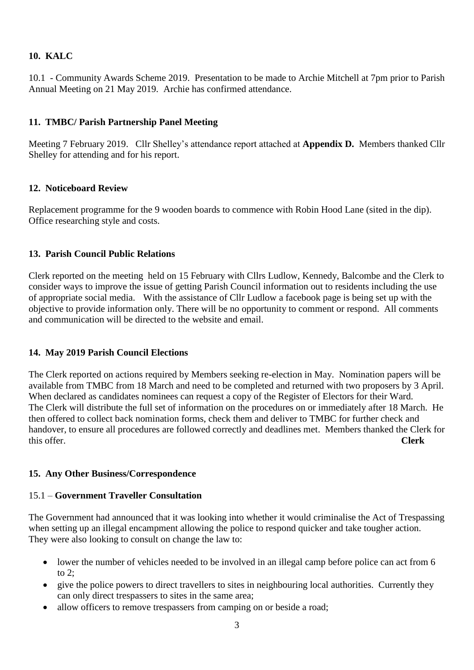## **10. KALC**

10.1 - Community Awards Scheme 2019. Presentation to be made to Archie Mitchell at 7pm prior to Parish Annual Meeting on 21 May 2019. Archie has confirmed attendance.

## **11. TMBC/ Parish Partnership Panel Meeting**

Meeting 7 February 2019. Cllr Shelley's attendance report attached at **Appendix D.** Members thanked Cllr Shelley for attending and for his report.

## **12. Noticeboard Review**

Replacement programme for the 9 wooden boards to commence with Robin Hood Lane (sited in the dip). Office researching style and costs.

## **13. Parish Council Public Relations**

Clerk reported on the meeting held on 15 February with Cllrs Ludlow, Kennedy, Balcombe and the Clerk to consider ways to improve the issue of getting Parish Council information out to residents including the use of appropriate social media. With the assistance of Cllr Ludlow a facebook page is being set up with the objective to provide information only. There will be no opportunity to comment or respond. All comments and communication will be directed to the website and email.

## **14. May 2019 Parish Council Elections**

The Clerk reported on actions required by Members seeking re-election in May. Nomination papers will be available from TMBC from 18 March and need to be completed and returned with two proposers by 3 April. When declared as candidates nominees can request a copy of the Register of Electors for their Ward. The Clerk will distribute the full set of information on the procedures on or immediately after 18 March. He then offered to collect back nomination forms, check them and deliver to TMBC for further check and handover, to ensure all procedures are followed correctly and deadlines met. Members thanked the Clerk for this offer. **Clerk**

#### **15. Any Other Business/Correspondence**

#### 15.1 – **Government Traveller Consultation**

The Government had announced that it was looking into whether it would criminalise the Act of Trespassing when setting up an illegal encampment allowing the police to respond quicker and take tougher action. They were also looking to consult on change the law to:

- lower the number of vehicles needed to be involved in an illegal camp before police can act from 6 to 2;
- give the police powers to direct travellers to sites in neighbouring local authorities. Currently they can only direct trespassers to sites in the same area;
- allow officers to remove trespassers from camping on or beside a road;